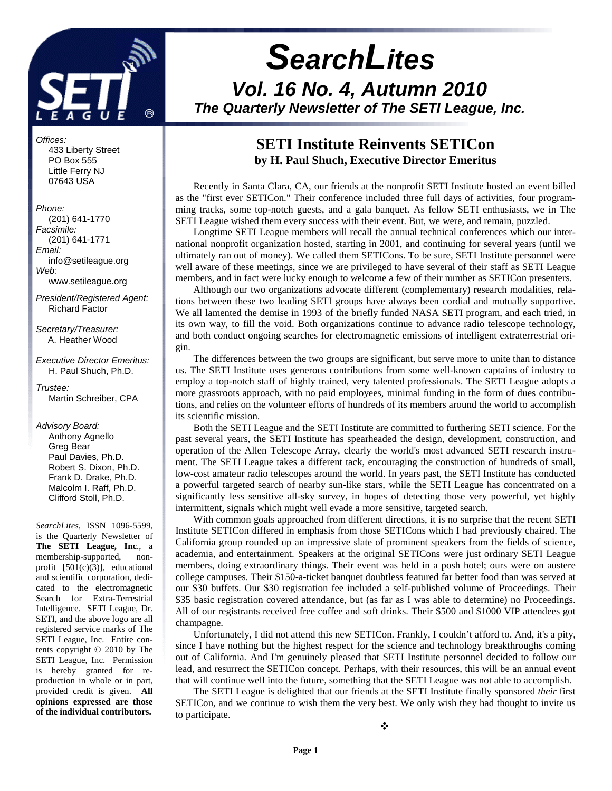

Offices: 433 Liberty Street PO Box 555 Little Ferry NJ 07643 USA

#### Phone:

 (201) 641-1770 Facsimile: (201) 641-1771 Email: info@setileague.org Web: www.setileague.org

President/Registered Agent: Richard Factor

Secretary/Treasurer: A. Heather Wood

Executive Director Emeritus: H. Paul Shuch, Ph.D.

Trustee: Martin Schreiber, CPA

#### Advisory Board:

 Anthony Agnello Greg Bear Paul Davies, Ph.D. Robert S. Dixon, Ph.D. Frank D. Drake, Ph.D. Malcolm I. Raff, Ph.D. Clifford Stoll, Ph.D.

*SearchLites*, ISSN 1096-5599, is the Quarterly Newsletter of **The SETI League, Inc**., a membership-supported, nonprofit [501(c)(3)], educational and scientific corporation, dedicated to the electromagnetic Search for Extra-Terrestrial Intelligence. SETI League, Dr. SETI, and the above logo are all registered service marks of The SETI League, Inc. Entire contents copyright © 2010 by The SETI League, Inc. Permission is hereby granted for reproduction in whole or in part, provided credit is given. **All opinions expressed are those of the individual contributors.** 

# **SearchLites Vol. 16 No. 4, Autumn 2010 The Quarterly Newsletter of The SETI League, Inc.**

# **SETI Institute Reinvents SETICon by H. Paul Shuch, Executive Director Emeritus**

Recently in Santa Clara, CA, our friends at the nonprofit SETI Institute hosted an event billed as the "first ever SETICon." Their conference included three full days of activities, four programming tracks, some top-notch guests, and a gala banquet. As fellow SETI enthusiasts, we in The SETI League wished them every success with their event. But, we were, and remain, puzzled.

Longtime SETI League members will recall the annual technical conferences which our international nonprofit organization hosted, starting in 2001, and continuing for several years (until we ultimately ran out of money). We called them SETICons. To be sure, SETI Institute personnel were well aware of these meetings, since we are privileged to have several of their staff as SETI League members, and in fact were lucky enough to welcome a few of their number as SETICon presenters.

Although our two organizations advocate different (complementary) research modalities, relations between these two leading SETI groups have always been cordial and mutually supportive. We all lamented the demise in 1993 of the briefly funded NASA SETI program, and each tried, in its own way, to fill the void. Both organizations continue to advance radio telescope technology, and both conduct ongoing searches for electromagnetic emissions of intelligent extraterrestrial origin.

The differences between the two groups are significant, but serve more to unite than to distance us. The SETI Institute uses generous contributions from some well-known captains of industry to employ a top-notch staff of highly trained, very talented professionals. The SETI League adopts a more grassroots approach, with no paid employees, minimal funding in the form of dues contributions, and relies on the volunteer efforts of hundreds of its members around the world to accomplish its scientific mission.

Both the SETI League and the SETI Institute are committed to furthering SETI science. For the past several years, the SETI Institute has spearheaded the design, development, construction, and operation of the Allen Telescope Array, clearly the world's most advanced SETI research instrument. The SETI League takes a different tack, encouraging the construction of hundreds of small, low-cost amateur radio telescopes around the world. In years past, the SETI Institute has conducted a powerful targeted search of nearby sun-like stars, while the SETI League has concentrated on a significantly less sensitive all-sky survey, in hopes of detecting those very powerful, yet highly intermittent, signals which might well evade a more sensitive, targeted search.

With common goals approached from different directions, it is no surprise that the recent SETI Institute SETICon differed in emphasis from those SETICons which I had previously chaired. The California group rounded up an impressive slate of prominent speakers from the fields of science, academia, and entertainment. Speakers at the original SETICons were just ordinary SETI League members, doing extraordinary things. Their event was held in a posh hotel; ours were on austere college campuses. Their \$150-a-ticket banquet doubtless featured far better food than was served at our \$30 buffets. Our \$30 registration fee included a self-published volume of Proceedings. Their \$35 basic registration covered attendance, but (as far as I was able to determine) no Proceedings. All of our registrants received free coffee and soft drinks. Their \$500 and \$1000 VIP attendees got champagne.

Unfortunately, I did not attend this new SETICon. Frankly, I couldn't afford to. And, it's a pity, since I have nothing but the highest respect for the science and technology breakthroughs coming out of California. And I'm genuinely pleased that SETI Institute personnel decided to follow our lead, and resurrect the SETICon concept. Perhaps, with their resources, this will be an annual event that will continue well into the future, something that the SETI League was not able to accomplish.

The SETI League is delighted that our friends at the SETI Institute finally sponsored *their* first SETICon, and we continue to wish them the very best. We only wish they had thought to invite us to participate.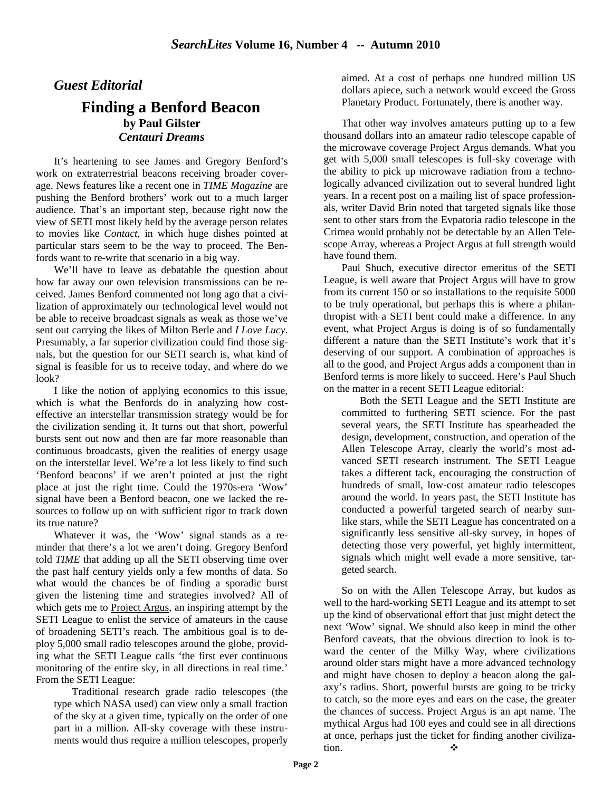# *Guest Editorial*

## **Finding a Benford Beacon by Paul Gilster**  *Centauri Dreams*

It's heartening to see James and Gregory Benford's work on extraterrestrial beacons receiving broader coverage. News features like a recent one in *TIME Magazine* are pushing the Benford brothers' work out to a much larger audience. That's an important step, because right now the view of SETI most likely held by the average person relates to movies like *Contact*, in which huge dishes pointed at particular stars seem to be the way to proceed. The Benfords want to re-write that scenario in a big way.

We'll have to leave as debatable the question about how far away our own television transmissions can be received. James Benford commented not long ago that a civilization of approximately our technological level would not be able to receive broadcast signals as weak as those we've sent out carrying the likes of Milton Berle and *I Love Lucy*. Presumably, a far superior civilization could find those signals, but the question for our SETI search is, what kind of signal is feasible for us to receive today, and where do we look?

I like the notion of applying economics to this issue, which is what the Benfords do in analyzing how costeffective an interstellar transmission strategy would be for the civilization sending it. It turns out that short, powerful bursts sent out now and then are far more reasonable than continuous broadcasts, given the realities of energy usage on the interstellar level. We're a lot less likely to find such 'Benford beacons' if we aren't pointed at just the right place at just the right time. Could the 1970s-era 'Wow' signal have been a Benford beacon, one we lacked the resources to follow up on with sufficient rigor to track down its true nature?

Whatever it was, the 'Wow' signal stands as a reminder that there's a lot we aren't doing. Gregory Benford told *TIME* that adding up all the SETI observing time over the past half century yields only a few months of data. So what would the chances be of finding a sporadic burst given the listening time and strategies involved? All of which gets me to **Project Argus**, an inspiring attempt by the SETI League to enlist the service of amateurs in the cause of broadening SETI's reach. The ambitious goal is to deploy 5,000 small radio telescopes around the globe, providing what the SETI League calls 'the first ever continuous monitoring of the entire sky, in all directions in real time.' From the SETI League:

Traditional research grade radio telescopes (the type which NASA used) can view only a small fraction of the sky at a given time, typically on the order of one part in a million. All-sky coverage with these instruments would thus require a million telescopes, properly aimed. At a cost of perhaps one hundred million US dollars apiece, such a network would exceed the Gross Planetary Product. Fortunately, there is another way.

That other way involves amateurs putting up to a few thousand dollars into an amateur radio telescope capable of the microwave coverage Project Argus demands. What you get with 5,000 small telescopes is full-sky coverage with the ability to pick up microwave radiation from a technologically advanced civilization out to several hundred light years. In a recent post on a mailing list of space professionals, writer David Brin noted that targeted signals like those sent to other stars from the Evpatoria radio telescope in the Crimea would probably not be detectable by an Allen Telescope Array, whereas a Project Argus at full strength would have found them.

Paul Shuch, executive director emeritus of the SETI League, is well aware that Project Argus will have to grow from its current 150 or so installations to the requisite 5000 to be truly operational, but perhaps this is where a philanthropist with a SETI bent could make a difference. In any event, what Project Argus is doing is of so fundamentally different a nature than the SETI Institute's work that it's deserving of our support. A combination of approaches is all to the good, and Project Argus adds a component than in Benford terms is more likely to succeed. Here's Paul Shuch on the matter in a recent SETI League editorial:

Both the SETI League and the SETI Institute are committed to furthering SETI science. For the past several years, the SETI Institute has spearheaded the design, development, construction, and operation of the Allen Telescope Array, clearly the world's most advanced SETI research instrument. The SETI League takes a different tack, encouraging the construction of hundreds of small, low-cost amateur radio telescopes around the world. In years past, the SETI Institute has conducted a powerful targeted search of nearby sunlike stars, while the SETI League has concentrated on a significantly less sensitive all-sky survey, in hopes of detecting those very powerful, yet highly intermittent, signals which might well evade a more sensitive, targeted search.

So on with the Allen Telescope Array, but kudos as well to the hard-working SETI League and its attempt to set up the kind of observational effort that just might detect the next 'Wow' signal. We should also keep in mind the other Benford caveats, that the obvious direction to look is toward the center of the Milky Way, where civilizations around older stars might have a more advanced technology and might have chosen to deploy a beacon along the galaxy's radius. Short, powerful bursts are going to be tricky to catch, so the more eyes and ears on the case, the greater the chances of success. Project Argus is an apt name. The mythical Argus had 100 eyes and could see in all directions at once, perhaps just the ticket for finding another civilization.  $\bullet$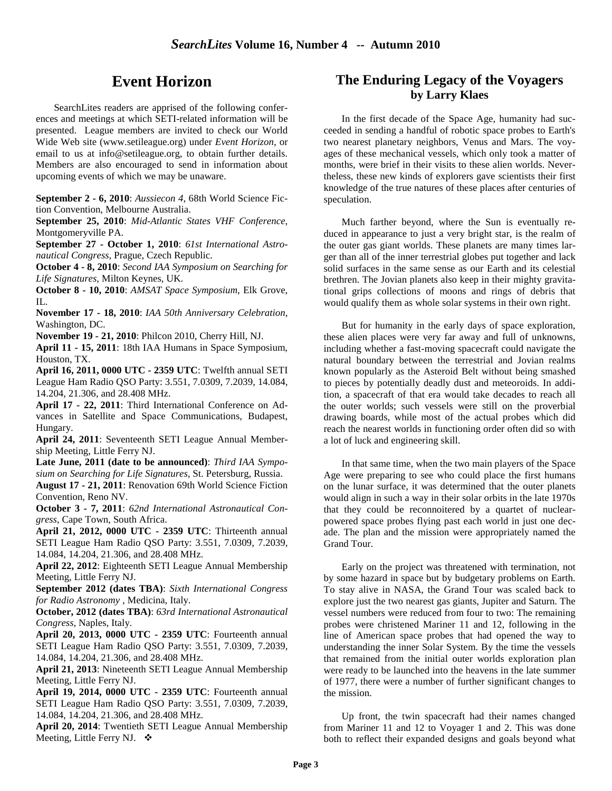# **Event Horizon**

SearchLites readers are apprised of the following conferences and meetings at which SETI-related information will be presented. League members are invited to check our World Wide Web site (www.setileague.org) under *Event Horizon*, or email to us at info@setileague.org, to obtain further details. Members are also encouraged to send in information about upcoming events of which we may be unaware.

**September 2 - 6, 2010**: *Aussiecon 4*, 68th World Science Fiction Convention, Melbourne Australia.

**September 25, 2010**: *Mid-Atlantic States VHF Conference*, Montgomeryville PA.

**September 27 - October 1, 2010**: *61st International Astronautical Congress*, Prague, Czech Republic.

**October 4 - 8, 2010**: *Second IAA Symposium on Searching for Life Signatures*, Milton Keynes, UK.

**October 8 - 10, 2010**: *AMSAT Space Symposium*, Elk Grove, IL.

**November 17 - 18, 2010**: *IAA 50th Anniversary Celebration*, Washington, DC.

**November 19 - 21, 2010**: Philcon 2010, Cherry Hill, NJ.

**April 11 - 15, 2011**: 18th IAA Humans in Space Symposium, Houston, TX.

**April 16, 2011, 0000 UTC - 2359 UTC**: Twelfth annual SETI League Ham Radio QSO Party: 3.551, 7.0309, 7.2039, 14.084, 14.204, 21.306, and 28.408 MHz.

**April 17 - 22, 2011**: Third International Conference on Advances in Satellite and Space Communications, Budapest, Hungary.

**April 24, 2011**: Seventeenth SETI League Annual Membership Meeting, Little Ferry NJ.

**Late June, 2011 (date to be announced)**: *Third IAA Symposium on Searching for Life Signatures*, St. Petersburg, Russia. **August 17 - 21, 2011**: Renovation 69th World Science Fiction Convention, Reno NV.

**October 3 - 7, 2011**: *62nd International Astronautical Congress*, Cape Town, South Africa.

**April 21, 2012, 0000 UTC - 2359 UTC**: Thirteenth annual SETI League Ham Radio QSO Party: 3.551, 7.0309, 7.2039, 14.084, 14.204, 21.306, and 28.408 MHz.

**April 22, 2012**: Eighteenth SETI League Annual Membership Meeting, Little Ferry NJ.

**September 2012 (dates TBA)**: *Sixth International Congress for Radio Astronomy* , Medicina, Italy.

**October, 2012 (dates TBA)**: *63rd International Astronautical Congress*, Naples, Italy.

**April 20, 2013, 0000 UTC - 2359 UTC**: Fourteenth annual SETI League Ham Radio QSO Party: 3.551, 7.0309, 7.2039, 14.084, 14.204, 21.306, and 28.408 MHz.

**April 21, 2013**: Nineteenth SETI League Annual Membership Meeting, Little Ferry NJ.

**April 19, 2014, 0000 UTC - 2359 UTC**: Fourteenth annual SETI League Ham Radio QSO Party: 3.551, 7.0309, 7.2039, 14.084, 14.204, 21.306, and 28.408 MHz.

**April 20, 2014**: Twentieth SETI League Annual Membership Meeting, Little Ferry NJ. ❖

# **The Enduring Legacy of the Voyagers by Larry Klaes**

In the first decade of the Space Age, humanity had succeeded in sending a handful of robotic space probes to Earth's two nearest planetary neighbors, Venus and Mars. The voyages of these mechanical vessels, which only took a matter of months, were brief in their visits to these alien worlds. Nevertheless, these new kinds of explorers gave scientists their first knowledge of the true natures of these places after centuries of speculation.

Much farther beyond, where the Sun is eventually reduced in appearance to just a very bright star, is the realm of the outer gas giant worlds. These planets are many times larger than all of the inner terrestrial globes put together and lack solid surfaces in the same sense as our Earth and its celestial brethren. The Jovian planets also keep in their mighty gravitational grips collections of moons and rings of debris that would qualify them as whole solar systems in their own right.

But for humanity in the early days of space exploration, these alien places were very far away and full of unknowns, including whether a fast-moving spacecraft could navigate the natural boundary between the terrestrial and Jovian realms known popularly as the Asteroid Belt without being smashed to pieces by potentially deadly dust and meteoroids. In addition, a spacecraft of that era would take decades to reach all the outer worlds; such vessels were still on the proverbial drawing boards, while most of the actual probes which did reach the nearest worlds in functioning order often did so with a lot of luck and engineering skill.

In that same time, when the two main players of the Space Age were preparing to see who could place the first humans on the lunar surface, it was determined that the outer planets would align in such a way in their solar orbits in the late 1970s that they could be reconnoitered by a quartet of nuclearpowered space probes flying past each world in just one decade. The plan and the mission were appropriately named the Grand Tour.

Early on the project was threatened with termination, not by some hazard in space but by budgetary problems on Earth. To stay alive in NASA, the Grand Tour was scaled back to explore just the two nearest gas giants, Jupiter and Saturn. The vessel numbers were reduced from four to two: The remaining probes were christened Mariner 11 and 12, following in the line of American space probes that had opened the way to understanding the inner Solar System. By the time the vessels that remained from the initial outer worlds exploration plan were ready to be launched into the heavens in the late summer of 1977, there were a number of further significant changes to the mission.

Up front, the twin spacecraft had their names changed from Mariner 11 and 12 to Voyager 1 and 2. This was done both to reflect their expanded designs and goals beyond what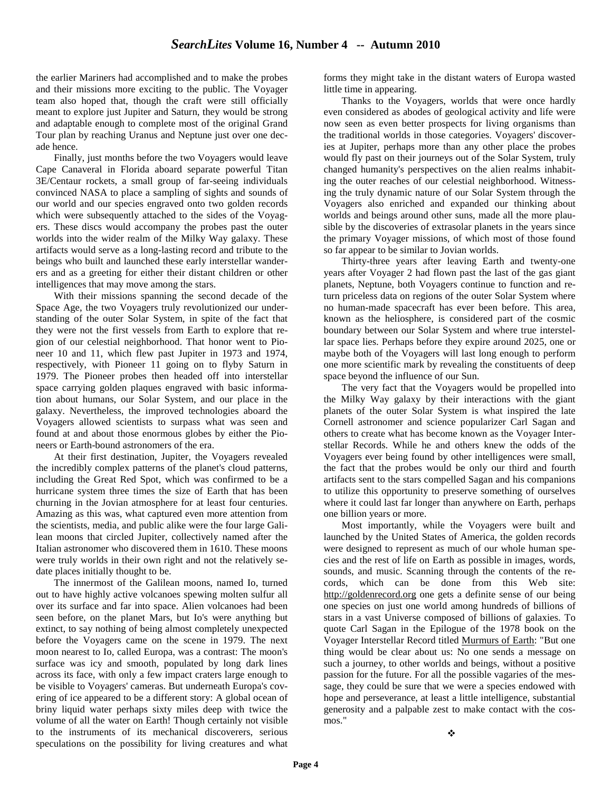the earlier Mariners had accomplished and to make the probes and their missions more exciting to the public. The Voyager team also hoped that, though the craft were still officially meant to explore just Jupiter and Saturn, they would be strong and adaptable enough to complete most of the original Grand Tour plan by reaching Uranus and Neptune just over one decade hence.

Finally, just months before the two Voyagers would leave Cape Canaveral in Florida aboard separate powerful Titan 3E/Centaur rockets, a small group of far-seeing individuals convinced NASA to place a sampling of sights and sounds of our world and our species engraved onto two golden records which were subsequently attached to the sides of the Voyagers. These discs would accompany the probes past the outer worlds into the wider realm of the Milky Way galaxy. These artifacts would serve as a long-lasting record and tribute to the beings who built and launched these early interstellar wanderers and as a greeting for either their distant children or other intelligences that may move among the stars.

With their missions spanning the second decade of the Space Age, the two Voyagers truly revolutionized our understanding of the outer Solar System, in spite of the fact that they were not the first vessels from Earth to explore that region of our celestial neighborhood. That honor went to Pioneer 10 and 11, which flew past Jupiter in 1973 and 1974, respectively, with Pioneer 11 going on to flyby Saturn in 1979. The Pioneer probes then headed off into interstellar space carrying golden plaques engraved with basic information about humans, our Solar System, and our place in the galaxy. Nevertheless, the improved technologies aboard the Voyagers allowed scientists to surpass what was seen and found at and about those enormous globes by either the Pioneers or Earth-bound astronomers of the era.

At their first destination, Jupiter, the Voyagers revealed the incredibly complex patterns of the planet's cloud patterns, including the Great Red Spot, which was confirmed to be a hurricane system three times the size of Earth that has been churning in the Jovian atmosphere for at least four centuries. Amazing as this was, what captured even more attention from the scientists, media, and public alike were the four large Galilean moons that circled Jupiter, collectively named after the Italian astronomer who discovered them in 1610. These moons were truly worlds in their own right and not the relatively sedate places initially thought to be.

The innermost of the Galilean moons, named Io, turned out to have highly active volcanoes spewing molten sulfur all over its surface and far into space. Alien volcanoes had been seen before, on the planet Mars, but Io's were anything but extinct, to say nothing of being almost completely unexpected before the Voyagers came on the scene in 1979. The next moon nearest to Io, called Europa, was a contrast: The moon's surface was icy and smooth, populated by long dark lines across its face, with only a few impact craters large enough to be visible to Voyagers' cameras. But underneath Europa's covering of ice appeared to be a different story: A global ocean of briny liquid water perhaps sixty miles deep with twice the volume of all the water on Earth! Though certainly not visible to the instruments of its mechanical discoverers, serious speculations on the possibility for living creatures and what

forms they might take in the distant waters of Europa wasted little time in appearing.

Thanks to the Voyagers, worlds that were once hardly even considered as abodes of geological activity and life were now seen as even better prospects for living organisms than the traditional worlds in those categories. Voyagers' discoveries at Jupiter, perhaps more than any other place the probes would fly past on their journeys out of the Solar System, truly changed humanity's perspectives on the alien realms inhabiting the outer reaches of our celestial neighborhood. Witnessing the truly dynamic nature of our Solar System through the Voyagers also enriched and expanded our thinking about worlds and beings around other suns, made all the more plausible by the discoveries of extrasolar planets in the years since the primary Voyager missions, of which most of those found so far appear to be similar to Jovian worlds.

Thirty-three years after leaving Earth and twenty-one years after Voyager 2 had flown past the last of the gas giant planets, Neptune, both Voyagers continue to function and return priceless data on regions of the outer Solar System where no human-made spacecraft has ever been before. This area, known as the heliosphere, is considered part of the cosmic boundary between our Solar System and where true interstellar space lies. Perhaps before they expire around 2025, one or maybe both of the Voyagers will last long enough to perform one more scientific mark by revealing the constituents of deep space beyond the influence of our Sun.

The very fact that the Voyagers would be propelled into the Milky Way galaxy by their interactions with the giant planets of the outer Solar System is what inspired the late Cornell astronomer and science popularizer Carl Sagan and others to create what has become known as the Voyager Interstellar Records. While he and others knew the odds of the Voyagers ever being found by other intelligences were small, the fact that the probes would be only our third and fourth artifacts sent to the stars compelled Sagan and his companions to utilize this opportunity to preserve something of ourselves where it could last far longer than anywhere on Earth, perhaps one billion years or more.

Most importantly, while the Voyagers were built and launched by the United States of America, the golden records were designed to represent as much of our whole human species and the rest of life on Earth as possible in images, words, sounds, and music. Scanning through the contents of the records, which can be done from this Web site: http://goldenrecord.org one gets a definite sense of our being one species on just one world among hundreds of billions of stars in a vast Universe composed of billions of galaxies. To quote Carl Sagan in the Epilogue of the 1978 book on the Voyager Interstellar Record titled Murmurs of Earth: "But one thing would be clear about us: No one sends a message on such a journey, to other worlds and beings, without a positive passion for the future. For all the possible vagaries of the message, they could be sure that we were a species endowed with hope and perseverance, at least a little intelligence, substantial generosity and a palpable zest to make contact with the cosmos."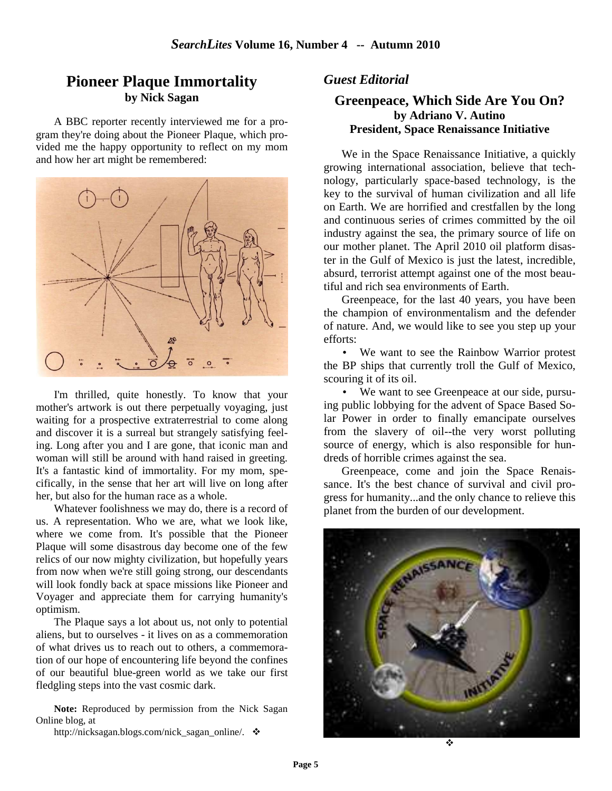# **Pioneer Plaque Immortality by Nick Sagan**

A BBC reporter recently interviewed me for a program they're doing about the Pioneer Plaque, which provided me the happy opportunity to reflect on my mom and how her art might be remembered:



I'm thrilled, quite honestly. To know that your mother's artwork is out there perpetually voyaging, just waiting for a prospective extraterrestrial to come along and discover it is a surreal but strangely satisfying feeling. Long after you and I are gone, that iconic man and woman will still be around with hand raised in greeting. It's a fantastic kind of immortality. For my mom, specifically, in the sense that her art will live on long after her, but also for the human race as a whole.

Whatever foolishness we may do, there is a record of us. A representation. Who we are, what we look like, where we come from. It's possible that the Pioneer Plaque will some disastrous day become one of the few relics of our now mighty civilization, but hopefully years from now when we're still going strong, our descendants will look fondly back at space missions like Pioneer and Voyager and appreciate them for carrying humanity's optimism.

The Plaque says a lot about us, not only to potential aliens, but to ourselves - it lives on as a commemoration of what drives us to reach out to others, a commemoration of our hope of encountering life beyond the confines of our beautiful blue-green world as we take our first fledgling steps into the vast cosmic dark.

**Note:** Reproduced by permission from the Nick Sagan Online blog, at

http://nicksagan.blogs.com/nick\_sagan\_online/.  $\triangleleft$ 

## *Guest Editorial*

### **Greenpeace, Which Side Are You On? by Adriano V. Autino President, Space Renaissance Initiative**

We in the Space Renaissance Initiative, a quickly growing international association, believe that technology, particularly space-based technology, is the key to the survival of human civilization and all life on Earth. We are horrified and crestfallen by the long and continuous series of crimes committed by the oil industry against the sea, the primary source of life on our mother planet. The April 2010 oil platform disaster in the Gulf of Mexico is just the latest, incredible, absurd, terrorist attempt against one of the most beautiful and rich sea environments of Earth.

Greenpeace, for the last 40 years, you have been the champion of environmentalism and the defender of nature. And, we would like to see you step up your efforts:

• We want to see the Rainbow Warrior protest the BP ships that currently troll the Gulf of Mexico, scouring it of its oil.

• We want to see Greenpeace at our side, pursuing public lobbying for the advent of Space Based Solar Power in order to finally emancipate ourselves from the slavery of oil--the very worst polluting source of energy, which is also responsible for hundreds of horrible crimes against the sea.

Greenpeace, come and join the Space Renaissance. It's the best chance of survival and civil progress for humanity...and the only chance to relieve this planet from the burden of our development.

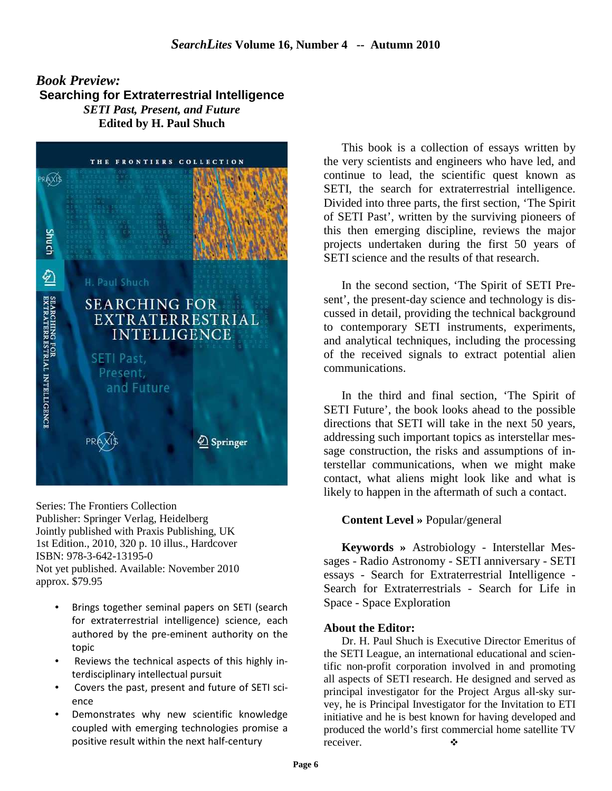# *Book Preview:* **Searching for Extraterrestrial Intelligence**  *SETI Past, Present, and Future*  **Edited by H. Paul Shuch**



Series: The Frontiers Collection Publisher: Springer Verlag, Heidelberg Jointly published with Praxis Publishing, UK 1st Edition., 2010, 320 p. 10 illus., Hardcover ISBN: 978-3-642-13195-0 Not yet published. Available: November 2010 approx. \$79.95

- Brings together seminal papers on SETI (search for extraterrestrial intelligence) science, each authored by the pre-eminent authority on the topic
- Reviews the technical aspects of this highly interdisciplinary intellectual pursuit
- Covers the past, present and future of SETI science
- Demonstrates why new scientific knowledge coupled with emerging technologies promise a positive result within the next half-century

This book is a collection of essays written by the very scientists and engineers who have led, and continue to lead, the scientific quest known as SETI, the search for extraterrestrial intelligence. Divided into three parts, the first section, 'The Spirit of SETI Past', written by the surviving pioneers of this then emerging discipline, reviews the major projects undertaken during the first 50 years of SETI science and the results of that research.

In the second section, 'The Spirit of SETI Present', the present-day science and technology is discussed in detail, providing the technical background to contemporary SETI instruments, experiments, and analytical techniques, including the processing of the received signals to extract potential alien communications.

In the third and final section, 'The Spirit of SETI Future', the book looks ahead to the possible directions that SETI will take in the next 50 years, addressing such important topics as interstellar message construction, the risks and assumptions of interstellar communications, when we might make contact, what aliens might look like and what is likely to happen in the aftermath of such a contact.

#### **Content Level »** Popular/general

**Keywords »** Astrobiology - Interstellar Messages - Radio Astronomy - SETI anniversary - SETI essays - Search for Extraterrestrial Intelligence - Search for Extraterrestrials - Search for Life in Space - Space Exploration

#### **About the Editor:**

Dr. H. Paul Shuch is Executive Director Emeritus of the SETI League, an international educational and scientific non-profit corporation involved in and promoting all aspects of SETI research. He designed and served as principal investigator for the Project Argus all-sky survey, he is Principal Investigator for the Invitation to ETI initiative and he is best known for having developed and produced the world's first commercial home satellite TV receiver.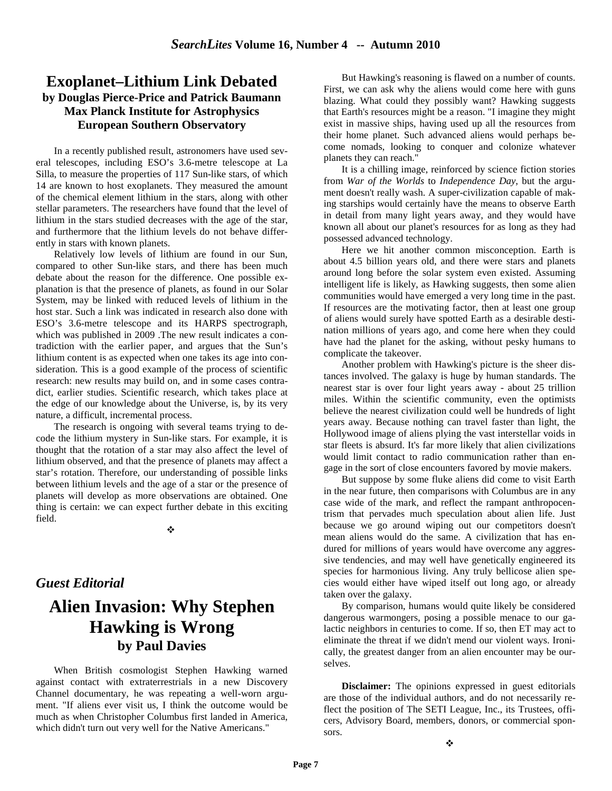# **Exoplanet–Lithium Link Debated by Douglas Pierce-Price and Patrick Baumann Max Planck Institute for Astrophysics European Southern Observatory**

In a recently published result, astronomers have used several telescopes, including ESO's 3.6-metre telescope at La Silla, to measure the properties of 117 Sun-like stars, of which 14 are known to host exoplanets. They measured the amount of the chemical element lithium in the stars, along with other stellar parameters. The researchers have found that the level of lithium in the stars studied decreases with the age of the star, and furthermore that the lithium levels do not behave differently in stars with known planets.

Relatively low levels of lithium are found in our Sun, compared to other Sun-like stars, and there has been much debate about the reason for the difference. One possible explanation is that the presence of planets, as found in our Solar System, may be linked with reduced levels of lithium in the host star. Such a link was indicated in research also done with ESO's 3.6-metre telescope and its HARPS spectrograph, which was published in 2009 .The new result indicates a contradiction with the earlier paper, and argues that the Sun's lithium content is as expected when one takes its age into consideration. This is a good example of the process of scientific research: new results may build on, and in some cases contradict, earlier studies. Scientific research, which takes place at the edge of our knowledge about the Universe, is, by its very nature, a difficult, incremental process.

The research is ongoing with several teams trying to decode the lithium mystery in Sun-like stars. For example, it is thought that the rotation of a star may also affect the level of lithium observed, and that the presence of planets may affect a star's rotation. Therefore, our understanding of possible links between lithium levels and the age of a star or the presence of planets will develop as more observations are obtained. One thing is certain: we can expect further debate in this exciting field.

÷

# *Guest Editorial*

# **Alien Invasion: Why Stephen Hawking is Wrong by Paul Davies**

When British cosmologist Stephen Hawking warned against contact with extraterrestrials in a new Discovery Channel documentary, he was repeating a well-worn argument. "If aliens ever visit us, I think the outcome would be much as when Christopher Columbus first landed in America, which didn't turn out very well for the Native Americans."

But Hawking's reasoning is flawed on a number of counts. First, we can ask why the aliens would come here with guns blazing. What could they possibly want? Hawking suggests that Earth's resources might be a reason. "I imagine they might exist in massive ships, having used up all the resources from their home planet. Such advanced aliens would perhaps become nomads, looking to conquer and colonize whatever planets they can reach."

It is a chilling image, reinforced by science fiction stories from *War of the Worlds* to *Independence Day*, but the argument doesn't really wash. A super-civilization capable of making starships would certainly have the means to observe Earth in detail from many light years away, and they would have known all about our planet's resources for as long as they had possessed advanced technology.

Here we hit another common misconception. Earth is about 4.5 billion years old, and there were stars and planets around long before the solar system even existed. Assuming intelligent life is likely, as Hawking suggests, then some alien communities would have emerged a very long time in the past. If resources are the motivating factor, then at least one group of aliens would surely have spotted Earth as a desirable destination millions of years ago, and come here when they could have had the planet for the asking, without pesky humans to complicate the takeover.

Another problem with Hawking's picture is the sheer distances involved. The galaxy is huge by human standards. The nearest star is over four light years away - about 25 trillion miles. Within the scientific community, even the optimists believe the nearest civilization could well be hundreds of light years away. Because nothing can travel faster than light, the Hollywood image of aliens plying the vast interstellar voids in star fleets is absurd. It's far more likely that alien civilizations would limit contact to radio communication rather than engage in the sort of close encounters favored by movie makers.

But suppose by some fluke aliens did come to visit Earth in the near future, then comparisons with Columbus are in any case wide of the mark, and reflect the rampant anthropocentrism that pervades much speculation about alien life. Just because we go around wiping out our competitors doesn't mean aliens would do the same. A civilization that has endured for millions of years would have overcome any aggressive tendencies, and may well have genetically engineered its species for harmonious living. Any truly bellicose alien species would either have wiped itself out long ago, or already taken over the galaxy.

By comparison, humans would quite likely be considered dangerous warmongers, posing a possible menace to our galactic neighbors in centuries to come. If so, then ET may act to eliminate the threat if we didn't mend our violent ways. Ironically, the greatest danger from an alien encounter may be ourselves.

**Disclaimer:** The opinions expressed in guest editorials are those of the individual authors, and do not necessarily reflect the position of The SETI League, Inc., its Trustees, officers, Advisory Board, members, donors, or commercial sponsors.